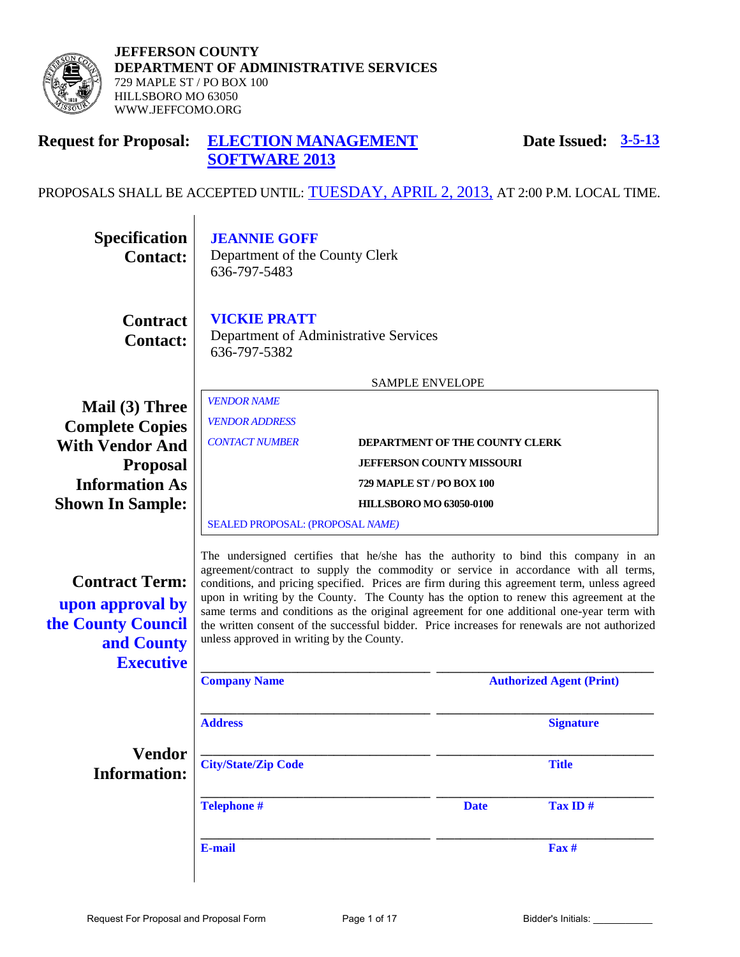

**JEFFERSON COUNTY DEPARTMENT OF ADMINISTRATIVE SERVICES**  729 MAPLE ST / PO BOX 100 HILLSBORO MO 63050 WWW.JEFFCOMO.ORG

#### **Request for Proposal: ELECTION MANAGEMENT SOFTWARE 2013 Date Issued: 3-5-13**

# PROPOSALS SHALL BE ACCEPTED UNTIL: TUESDAY, APRIL 2, 2013, AT 2:00 P.M. LOCAL TIME.

| <b>Specification</b><br><b>Contact:</b>                                                           | <b>JEANNIE GOFF</b><br>Department of the County Clerk<br>636-797-5483                                                                                                                                                                                                                                                                                                                                                                                                                                                                                                                                           |  |                                 |                  |
|---------------------------------------------------------------------------------------------------|-----------------------------------------------------------------------------------------------------------------------------------------------------------------------------------------------------------------------------------------------------------------------------------------------------------------------------------------------------------------------------------------------------------------------------------------------------------------------------------------------------------------------------------------------------------------------------------------------------------------|--|---------------------------------|------------------|
| <b>Contract</b><br><b>Contact:</b>                                                                | <b>VICKIE PRATT</b><br>Department of Administrative Services<br>636-797-5382                                                                                                                                                                                                                                                                                                                                                                                                                                                                                                                                    |  |                                 |                  |
|                                                                                                   | <b>SAMPLE ENVELOPE</b>                                                                                                                                                                                                                                                                                                                                                                                                                                                                                                                                                                                          |  |                                 |                  |
| Mail (3) Three                                                                                    | <b>VENDOR NAME</b>                                                                                                                                                                                                                                                                                                                                                                                                                                                                                                                                                                                              |  |                                 |                  |
| <b>Complete Copies</b>                                                                            | <b>VENDOR ADDRESS</b>                                                                                                                                                                                                                                                                                                                                                                                                                                                                                                                                                                                           |  |                                 |                  |
| <b>With Vendor And</b>                                                                            | <b>CONTACT NUMBER</b><br>DEPARTMENT OF THE COUNTY CLERK                                                                                                                                                                                                                                                                                                                                                                                                                                                                                                                                                         |  |                                 |                  |
| <b>Proposal</b>                                                                                   | <b>JEFFERSON COUNTY MISSOURI</b>                                                                                                                                                                                                                                                                                                                                                                                                                                                                                                                                                                                |  |                                 |                  |
| <b>Information As</b>                                                                             | 729 MAPLE ST / PO BOX 100                                                                                                                                                                                                                                                                                                                                                                                                                                                                                                                                                                                       |  |                                 |                  |
| <b>Shown In Sample:</b>                                                                           | <b>HILLSBORO MO 63050-0100</b>                                                                                                                                                                                                                                                                                                                                                                                                                                                                                                                                                                                  |  |                                 |                  |
|                                                                                                   | SEALED PROPOSAL: (PROPOSAL NAME)                                                                                                                                                                                                                                                                                                                                                                                                                                                                                                                                                                                |  |                                 |                  |
| <b>Contract Term:</b><br>upon approval by<br>the County Council<br>and County<br><b>Executive</b> | The undersigned certifies that he/she has the authority to bind this company in an<br>agreement/contract to supply the commodity or service in accordance with all terms,<br>conditions, and pricing specified. Prices are firm during this agreement term, unless agreed<br>upon in writing by the County. The County has the option to renew this agreement at the<br>same terms and conditions as the original agreement for one additional one-year term with<br>the written consent of the successful bidder. Price increases for renewals are not authorized<br>unless approved in writing by the County. |  |                                 |                  |
|                                                                                                   | <b>Company Name</b>                                                                                                                                                                                                                                                                                                                                                                                                                                                                                                                                                                                             |  | <b>Authorized Agent (Print)</b> |                  |
|                                                                                                   | <b>Address</b>                                                                                                                                                                                                                                                                                                                                                                                                                                                                                                                                                                                                  |  |                                 | <b>Signature</b> |
| <b>Vendor</b><br><b>Information:</b>                                                              | <b>City/State/Zip Code</b>                                                                                                                                                                                                                                                                                                                                                                                                                                                                                                                                                                                      |  |                                 | <b>Title</b>     |
|                                                                                                   | <b>Telephone #</b>                                                                                                                                                                                                                                                                                                                                                                                                                                                                                                                                                                                              |  | <b>Date</b>                     | Tax ID#          |
|                                                                                                   | E-mail                                                                                                                                                                                                                                                                                                                                                                                                                                                                                                                                                                                                          |  |                                 | $\mathbf{Fax}$ # |
|                                                                                                   |                                                                                                                                                                                                                                                                                                                                                                                                                                                                                                                                                                                                                 |  |                                 |                  |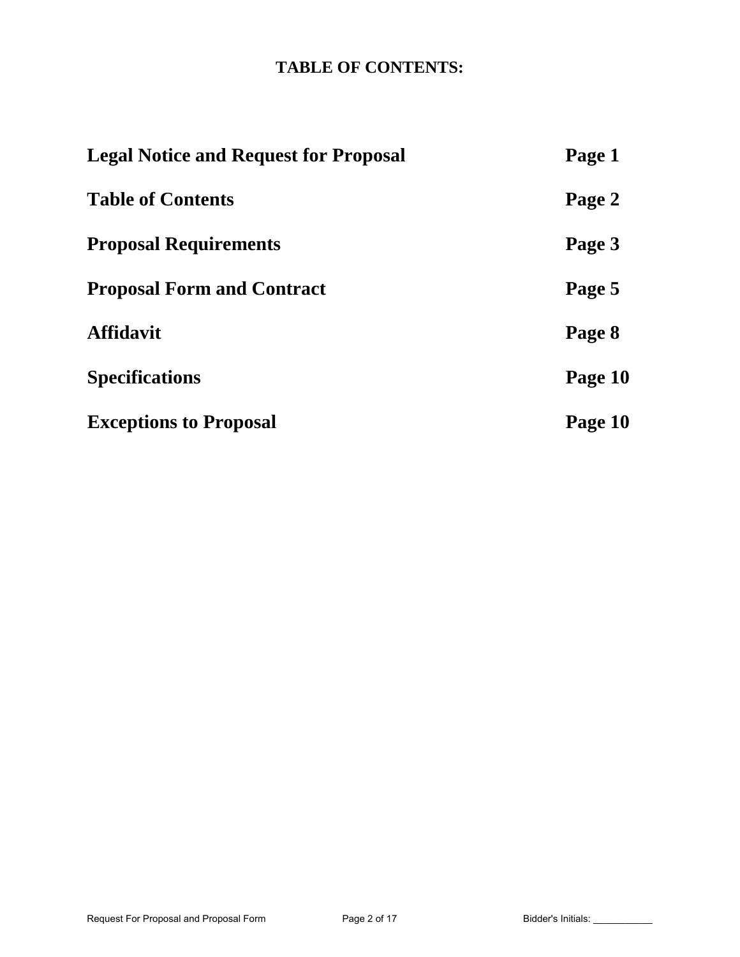# **TABLE OF CONTENTS:**

| <b>Legal Notice and Request for Proposal</b> | Page 1  |
|----------------------------------------------|---------|
| <b>Table of Contents</b>                     | Page 2  |
| <b>Proposal Requirements</b>                 | Page 3  |
| <b>Proposal Form and Contract</b>            | Page 5  |
| <b>Affidavit</b>                             | Page 8  |
| <b>Specifications</b>                        | Page 10 |
| <b>Exceptions to Proposal</b>                | Page 10 |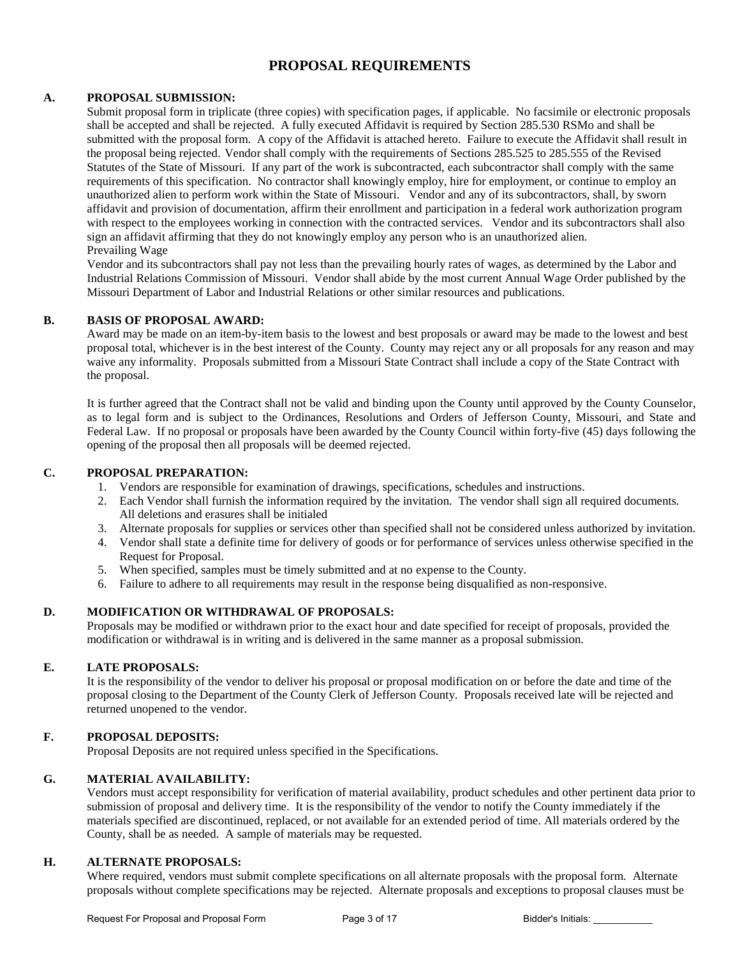## **PROPOSAL REQUIREMENTS**

#### **A. PROPOSAL SUBMISSION:**

Submit proposal form in triplicate (three copies) with specification pages, if applicable. No facsimile or electronic proposals shall be accepted and shall be rejected. A fully executed Affidavit is required by Section 285.530 RSMo and shall be submitted with the proposal form. A copy of the Affidavit is attached hereto. Failure to execute the Affidavit shall result in the proposal being rejected. Vendor shall comply with the requirements of Sections 285.525 to 285.555 of the Revised Statutes of the State of Missouri. If any part of the work is subcontracted, each subcontractor shall comply with the same requirements of this specification. No contractor shall knowingly employ, hire for employment, or continue to employ an unauthorized alien to perform work within the State of Missouri. Vendor and any of its subcontractors, shall, by sworn affidavit and provision of documentation, affirm their enrollment and participation in a federal work authorization program with respect to the employees working in connection with the contracted services. Vendor and its subcontractors shall also sign an affidavit affirming that they do not knowingly employ any person who is an unauthorized alien. Prevailing Wage

Vendor and its subcontractors shall pay not less than the prevailing hourly rates of wages, as determined by the Labor and Industrial Relations Commission of Missouri. Vendor shall abide by the most current Annual Wage Order published by the Missouri Department of Labor and Industrial Relations or other similar resources and publications.

#### **B. BASIS OF PROPOSAL AWARD:**

Award may be made on an item-by-item basis to the lowest and best proposals or award may be made to the lowest and best proposal total, whichever is in the best interest of the County. County may reject any or all proposals for any reason and may waive any informality. Proposals submitted from a Missouri State Contract shall include a copy of the State Contract with the proposal.

It is further agreed that the Contract shall not be valid and binding upon the County until approved by the County Counselor, as to legal form and is subject to the Ordinances, Resolutions and Orders of Jefferson County, Missouri, and State and Federal Law. If no proposal or proposals have been awarded by the County Council within forty-five (45) days following the opening of the proposal then all proposals will be deemed rejected.

#### **C. PROPOSAL PREPARATION:**

- 1. Vendors are responsible for examination of drawings, specifications, schedules and instructions.
- 2. Each Vendor shall furnish the information required by the invitation. The vendor shall sign all required documents. All deletions and erasures shall be initialed
- 3. Alternate proposals for supplies or services other than specified shall not be considered unless authorized by invitation.
- 4. Vendor shall state a definite time for delivery of goods or for performance of services unless otherwise specified in the Request for Proposal.
- 5. When specified, samples must be timely submitted and at no expense to the County.
- 6. Failure to adhere to all requirements may result in the response being disqualified as non-responsive.

#### **D. MODIFICATION OR WITHDRAWAL OF PROPOSALS:**

Proposals may be modified or withdrawn prior to the exact hour and date specified for receipt of proposals, provided the modification or withdrawal is in writing and is delivered in the same manner as a proposal submission.

#### **E. LATE PROPOSALS:**

It is the responsibility of the vendor to deliver his proposal or proposal modification on or before the date and time of the proposal closing to the Department of the County Clerk of Jefferson County. Proposals received late will be rejected and returned unopened to the vendor.

#### **F. PROPOSAL DEPOSITS:**

Proposal Deposits are not required unless specified in the Specifications.

#### **G. MATERIAL AVAILABILITY:**

Vendors must accept responsibility for verification of material availability, product schedules and other pertinent data prior to submission of proposal and delivery time. It is the responsibility of the vendor to notify the County immediately if the materials specified are discontinued, replaced, or not available for an extended period of time. All materials ordered by the County, shall be as needed. A sample of materials may be requested.

## **H. ALTERNATE PROPOSALS:**

Where required, vendors must submit complete specifications on all alternate proposals with the proposal form. Alternate proposals without complete specifications may be rejected. Alternate proposals and exceptions to proposal clauses must be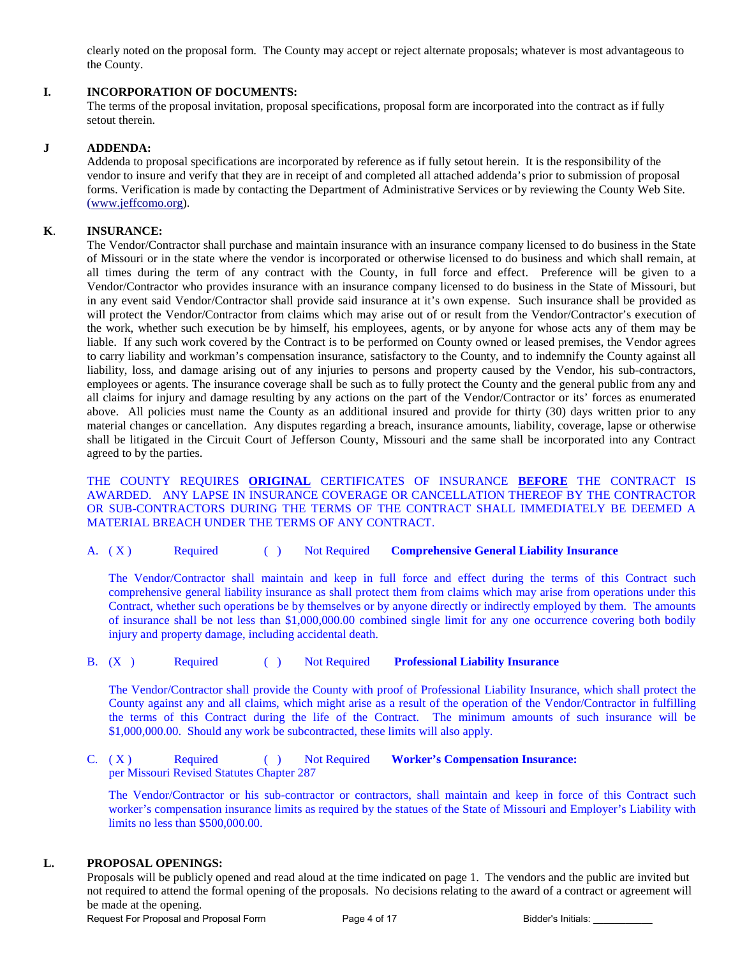clearly noted on the proposal form. The County may accept or reject alternate proposals; whatever is most advantageous to the County.

#### **I. INCORPORATION OF DOCUMENTS:**

The terms of the proposal invitation, proposal specifications, proposal form are incorporated into the contract as if fully setout therein.

#### **J ADDENDA:**

Addenda to proposal specifications are incorporated by reference as if fully setout herein. It is the responsibility of the vendor to insure and verify that they are in receipt of and completed all attached addenda's prior to submission of proposal forms. Verification is made by contacting the Department of Administrative Services or by reviewing the County Web Site. [\(www.jeffcomo.org\)](http://www.jeffcomo.org/).

#### **K**. **INSURANCE:**

 The Vendor/Contractor shall purchase and maintain insurance with an insurance company licensed to do business in the State of Missouri or in the state where the vendor is incorporated or otherwise licensed to do business and which shall remain, at all times during the term of any contract with the County, in full force and effect. Preference will be given to a Vendor/Contractor who provides insurance with an insurance company licensed to do business in the State of Missouri, but in any event said Vendor/Contractor shall provide said insurance at it's own expense. Such insurance shall be provided as will protect the Vendor/Contractor from claims which may arise out of or result from the Vendor/Contractor's execution of the work, whether such execution be by himself, his employees, agents, or by anyone for whose acts any of them may be liable. If any such work covered by the Contract is to be performed on County owned or leased premises, the Vendor agrees to carry liability and workman's compensation insurance, satisfactory to the County, and to indemnify the County against all liability, loss, and damage arising out of any injuries to persons and property caused by the Vendor, his sub-contractors, employees or agents. The insurance coverage shall be such as to fully protect the County and the general public from any and all claims for injury and damage resulting by any actions on the part of the Vendor/Contractor or its' forces as enumerated above. All policies must name the County as an additional insured and provide for thirty (30) days written prior to any material changes or cancellation. Any disputes regarding a breach, insurance amounts, liability, coverage, lapse or otherwise shall be litigated in the Circuit Court of Jefferson County, Missouri and the same shall be incorporated into any Contract agreed to by the parties.

 THE COUNTY REQUIRES **ORIGINAL** CERTIFICATES OF INSURANCE **BEFORE** THE CONTRACT IS AWARDED. ANY LAPSE IN INSURANCE COVERAGE OR CANCELLATION THEREOF BY THE CONTRACTOR OR SUB-CONTRACTORS DURING THE TERMS OF THE CONTRACT SHALL IMMEDIATELY BE DEEMED A MATERIAL BREACH UNDER THE TERMS OF ANY CONTRACT.

A. ( X ) Required ( ) Not Required **Comprehensive General Liability Insurance**

The Vendor/Contractor shall maintain and keep in full force and effect during the terms of this Contract such comprehensive general liability insurance as shall protect them from claims which may arise from operations under this Contract, whether such operations be by themselves or by anyone directly or indirectly employed by them. The amounts of insurance shall be not less than \$1,000,000.00 combined single limit for any one occurrence covering both bodily injury and property damage, including accidental death.

B. (X ) Required ( ) Not Required **Professional Liability Insurance**

The Vendor/Contractor shall provide the County with proof of Professional Liability Insurance, which shall protect the County against any and all claims, which might arise as a result of the operation of the Vendor/Contractor in fulfilling the terms of this Contract during the life of the Contract. The minimum amounts of such insurance will be \$1,000,000.00. Should any work be subcontracted, these limits will also apply.

C. (X) Required ( ) Not Required **Worker's Compensation Insurance:** per Missouri Revised Statutes Chapter 287

The Vendor/Contractor or his sub-contractor or contractors, shall maintain and keep in force of this Contract such worker's compensation insurance limits as required by the statues of the State of Missouri and Employer's Liability with limits no less than \$500,000.00.

#### **L. PROPOSAL OPENINGS:**

Proposals will be publicly opened and read aloud at the time indicated on page 1. The vendors and the public are invited but not required to attend the formal opening of the proposals. No decisions relating to the award of a contract or agreement will be made at the opening.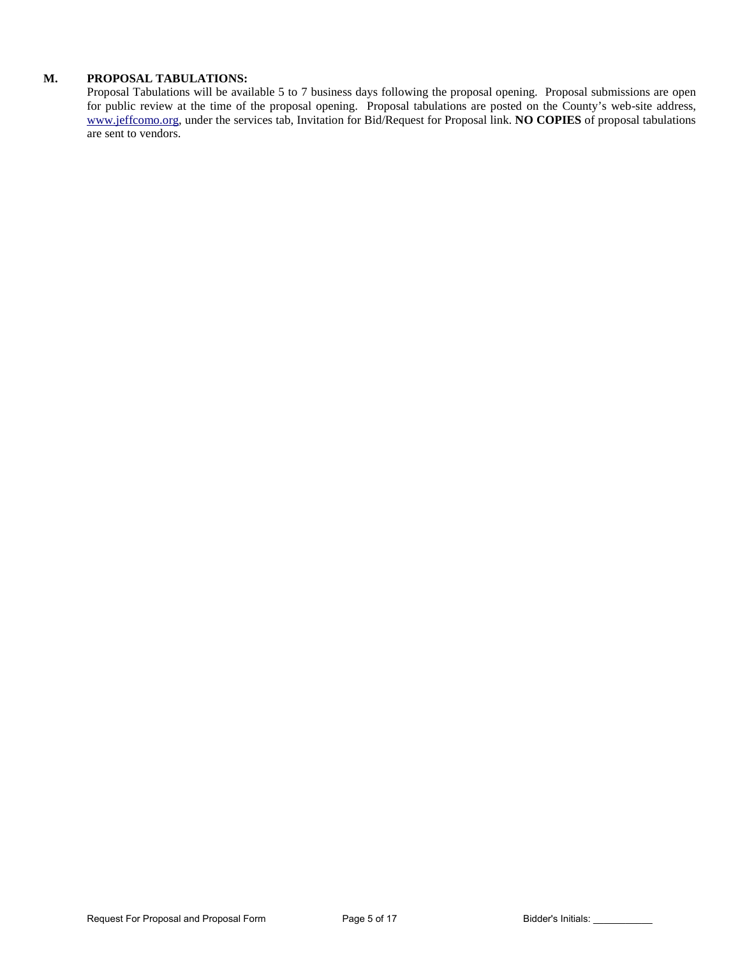### **M. PROPOSAL TABULATIONS:**

Proposal Tabulations will be available 5 to 7 business days following the proposal opening. Proposal submissions are open for public review at the time of the proposal opening. Proposal tabulations are posted on the County's web-site address, [www.jeffcomo.org,](http://www.jeffcomo.org/) under the services tab, Invitation for Bid/Request for Proposal link. **NO COPIES** of proposal tabulations are sent to vendors.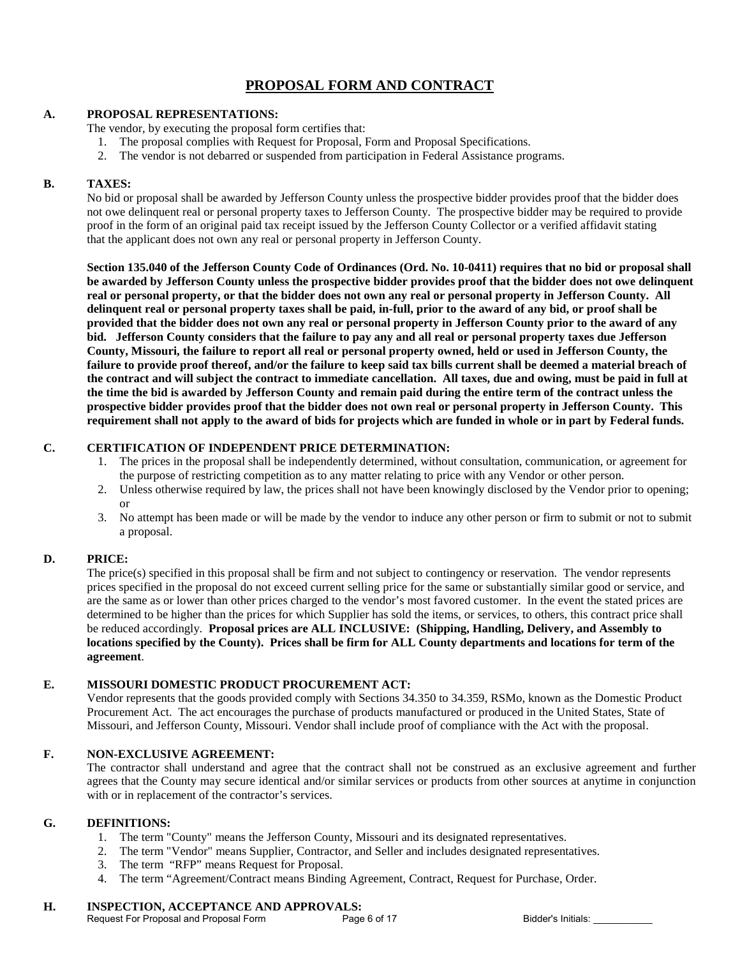# **PROPOSAL FORM AND CONTRACT**

#### **A. PROPOSAL REPRESENTATIONS:**

The vendor, by executing the proposal form certifies that:

- 1. The proposal complies with Request for Proposal, Form and Proposal Specifications.
- 2. The vendor is not debarred or suspended from participation in Federal Assistance programs.

#### **B. TAXES:**

No bid or proposal shall be awarded by Jefferson County unless the prospective bidder provides proof that the bidder does not owe delinquent real or personal property taxes to Jefferson County. The prospective bidder may be required to provide proof in the form of an original paid tax receipt issued by the Jefferson County Collector or a verified affidavit stating that the applicant does not own any real or personal property in Jefferson County.

**Section 135.040 of the Jefferson County Code of Ordinances (Ord. No. 10-0411) requires that no bid or proposal shall be awarded by Jefferson County unless the prospective bidder provides proof that the bidder does not owe delinquent real or personal property, or that the bidder does not own any real or personal property in Jefferson County. All delinquent real or personal property taxes shall be paid, in-full, prior to the award of any bid, or proof shall be provided that the bidder does not own any real or personal property in Jefferson County prior to the award of any bid. Jefferson County considers that the failure to pay any and all real or personal property taxes due Jefferson County, Missouri, the failure to report all real or personal property owned, held or used in Jefferson County, the failure to provide proof thereof, and/or the failure to keep said tax bills current shall be deemed a material breach of the contract and will subject the contract to immediate cancellation. All taxes, due and owing, must be paid in full at the time the bid is awarded by Jefferson County and remain paid during the entire term of the contract unless the prospective bidder provides proof that the bidder does not own real or personal property in Jefferson County. This requirement shall not apply to the award of bids for projects which are funded in whole or in part by Federal funds.**

## **C. CERTIFICATION OF INDEPENDENT PRICE DETERMINATION:**

- 1. The prices in the proposal shall be independently determined, without consultation, communication, or agreement for the purpose of restricting competition as to any matter relating to price with any Vendor or other person.
- 2. Unless otherwise required by law, the prices shall not have been knowingly disclosed by the Vendor prior to opening; or
- 3. No attempt has been made or will be made by the vendor to induce any other person or firm to submit or not to submit a proposal.

## **D. PRICE:**

The price(s) specified in this proposal shall be firm and not subject to contingency or reservation. The vendor represents prices specified in the proposal do not exceed current selling price for the same or substantially similar good or service, and are the same as or lower than other prices charged to the vendor's most favored customer. In the event the stated prices are determined to be higher than the prices for which Supplier has sold the items, or services, to others, this contract price shall be reduced accordingly. **Proposal prices are ALL INCLUSIVE: (Shipping, Handling, Delivery, and Assembly to locations specified by the County). Prices shall be firm for ALL County departments and locations for term of the agreement**.

## **E. MISSOURI DOMESTIC PRODUCT PROCUREMENT ACT:**

Vendor represents that the goods provided comply with Sections 34.350 to 34.359, RSMo, known as the Domestic Product Procurement Act. The act encourages the purchase of products manufactured or produced in the United States, State of Missouri, and Jefferson County, Missouri. Vendor shall include proof of compliance with the Act with the proposal.

#### **F. NON-EXCLUSIVE AGREEMENT:**

The contractor shall understand and agree that the contract shall not be construed as an exclusive agreement and further agrees that the County may secure identical and/or similar services or products from other sources at anytime in conjunction with or in replacement of the contractor's services.

#### **G. DEFINITIONS:**

- 1. The term "County" means the Jefferson County, Missouri and its designated representatives.
- 2. The term "Vendor" means Supplier, Contractor, and Seller and includes designated representatives.
- 3. The term "RFP" means Request for Proposal.
- 4. The term "Agreement/Contract means Binding Agreement, Contract, Request for Purchase, Order.

# **H. INSPECTION, ACCEPTANCE AND APPROVALS:**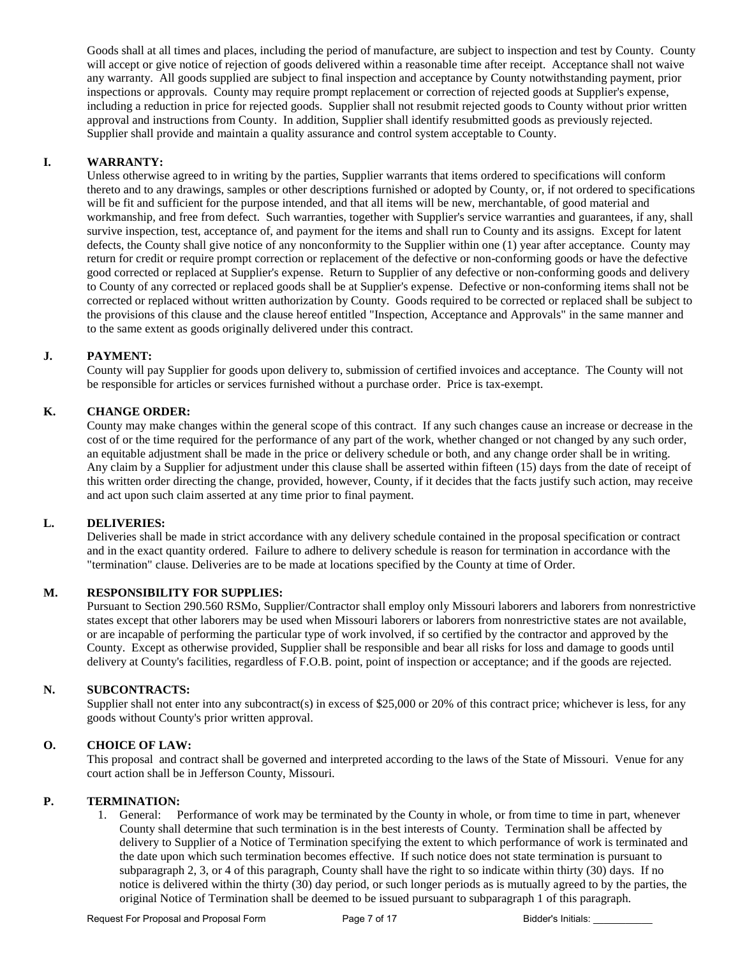Goods shall at all times and places, including the period of manufacture, are subject to inspection and test by County. County will accept or give notice of rejection of goods delivered within a reasonable time after receipt. Acceptance shall not waive any warranty. All goods supplied are subject to final inspection and acceptance by County notwithstanding payment, prior inspections or approvals. County may require prompt replacement or correction of rejected goods at Supplier's expense, including a reduction in price for rejected goods. Supplier shall not resubmit rejected goods to County without prior written approval and instructions from County. In addition, Supplier shall identify resubmitted goods as previously rejected. Supplier shall provide and maintain a quality assurance and control system acceptable to County.

#### **I. WARRANTY:**

Unless otherwise agreed to in writing by the parties, Supplier warrants that items ordered to specifications will conform thereto and to any drawings, samples or other descriptions furnished or adopted by County, or, if not ordered to specifications will be fit and sufficient for the purpose intended, and that all items will be new, merchantable, of good material and workmanship, and free from defect. Such warranties, together with Supplier's service warranties and guarantees, if any, shall survive inspection, test, acceptance of, and payment for the items and shall run to County and its assigns. Except for latent defects, the County shall give notice of any nonconformity to the Supplier within one (1) year after acceptance. County may return for credit or require prompt correction or replacement of the defective or non-conforming goods or have the defective good corrected or replaced at Supplier's expense. Return to Supplier of any defective or non-conforming goods and delivery to County of any corrected or replaced goods shall be at Supplier's expense. Defective or non-conforming items shall not be corrected or replaced without written authorization by County. Goods required to be corrected or replaced shall be subject to the provisions of this clause and the clause hereof entitled "Inspection, Acceptance and Approvals" in the same manner and to the same extent as goods originally delivered under this contract.

### **J. PAYMENT:**

County will pay Supplier for goods upon delivery to, submission of certified invoices and acceptance. The County will not be responsible for articles or services furnished without a purchase order. Price is tax-exempt.

### **K. CHANGE ORDER:**

County may make changes within the general scope of this contract. If any such changes cause an increase or decrease in the cost of or the time required for the performance of any part of the work, whether changed or not changed by any such order, an equitable adjustment shall be made in the price or delivery schedule or both, and any change order shall be in writing. Any claim by a Supplier for adjustment under this clause shall be asserted within fifteen (15) days from the date of receipt of this written order directing the change, provided, however, County, if it decides that the facts justify such action, may receive and act upon such claim asserted at any time prior to final payment.

#### **L. DELIVERIES:**

Deliveries shall be made in strict accordance with any delivery schedule contained in the proposal specification or contract and in the exact quantity ordered. Failure to adhere to delivery schedule is reason for termination in accordance with the "termination" clause. Deliveries are to be made at locations specified by the County at time of Order.

### **M. RESPONSIBILITY FOR SUPPLIES:**

Pursuant to Section 290.560 RSMo, Supplier/Contractor shall employ only Missouri laborers and laborers from nonrestrictive states except that other laborers may be used when Missouri laborers or laborers from nonrestrictive states are not available, or are incapable of performing the particular type of work involved, if so certified by the contractor and approved by the County. Except as otherwise provided, Supplier shall be responsible and bear all risks for loss and damage to goods until delivery at County's facilities, regardless of F.O.B. point, point of inspection or acceptance; and if the goods are rejected.

#### **N. SUBCONTRACTS:**

Supplier shall not enter into any subcontract(s) in excess of \$25,000 or 20% of this contract price; whichever is less, for any goods without County's prior written approval.

#### **O. CHOICE OF LAW:**

This proposal and contract shall be governed and interpreted according to the laws of the State of Missouri. Venue for any court action shall be in Jefferson County, Missouri.

#### **P. TERMINATION:**

1. General: Performance of work may be terminated by the County in whole, or from time to time in part, whenever County shall determine that such termination is in the best interests of County. Termination shall be affected by delivery to Supplier of a Notice of Termination specifying the extent to which performance of work is terminated and the date upon which such termination becomes effective. If such notice does not state termination is pursuant to subparagraph 2, 3, or 4 of this paragraph, County shall have the right to so indicate within thirty (30) days. If no notice is delivered within the thirty (30) day period, or such longer periods as is mutually agreed to by the parties, the original Notice of Termination shall be deemed to be issued pursuant to subparagraph 1 of this paragraph.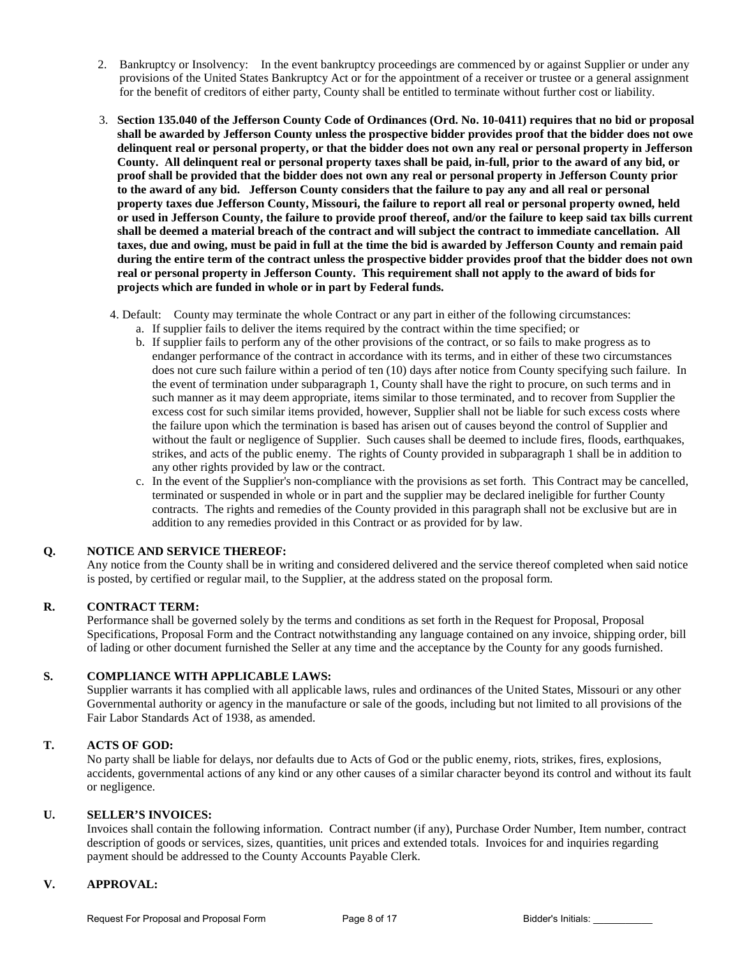- 2. Bankruptcy or Insolvency: In the event bankruptcy proceedings are commenced by or against Supplier or under any provisions of the United States Bankruptcy Act or for the appointment of a receiver or trustee or a general assignment for the benefit of creditors of either party, County shall be entitled to terminate without further cost or liability.
- 3. **Section 135.040 of the Jefferson County Code of Ordinances (Ord. No. 10-0411) requires that no bid or proposal shall be awarded by Jefferson County unless the prospective bidder provides proof that the bidder does not owe delinquent real or personal property, or that the bidder does not own any real or personal property in Jefferson County. All delinquent real or personal property taxes shall be paid, in-full, prior to the award of any bid, or proof shall be provided that the bidder does not own any real or personal property in Jefferson County prior to the award of any bid. Jefferson County considers that the failure to pay any and all real or personal property taxes due Jefferson County, Missouri, the failure to report all real or personal property owned, held or used in Jefferson County, the failure to provide proof thereof, and/or the failure to keep said tax bills current shall be deemed a material breach of the contract and will subject the contract to immediate cancellation. All taxes, due and owing, must be paid in full at the time the bid is awarded by Jefferson County and remain paid during the entire term of the contract unless the prospective bidder provides proof that the bidder does not own real or personal property in Jefferson County. This requirement shall not apply to the award of bids for projects which are funded in whole or in part by Federal funds.**
	- 4. Default: County may terminate the whole Contract or any part in either of the following circumstances:
		- a. If supplier fails to deliver the items required by the contract within the time specified; or
		- b. If supplier fails to perform any of the other provisions of the contract, or so fails to make progress as to endanger performance of the contract in accordance with its terms, and in either of these two circumstances does not cure such failure within a period of ten (10) days after notice from County specifying such failure. In the event of termination under subparagraph 1, County shall have the right to procure, on such terms and in such manner as it may deem appropriate, items similar to those terminated, and to recover from Supplier the excess cost for such similar items provided, however, Supplier shall not be liable for such excess costs where the failure upon which the termination is based has arisen out of causes beyond the control of Supplier and without the fault or negligence of Supplier. Such causes shall be deemed to include fires, floods, earthquakes, strikes, and acts of the public enemy. The rights of County provided in subparagraph 1 shall be in addition to any other rights provided by law or the contract.
		- c. In the event of the Supplier's non-compliance with the provisions as set forth. This Contract may be cancelled, terminated or suspended in whole or in part and the supplier may be declared ineligible for further County contracts. The rights and remedies of the County provided in this paragraph shall not be exclusive but are in addition to any remedies provided in this Contract or as provided for by law.

## **Q. NOTICE AND SERVICE THEREOF:**

Any notice from the County shall be in writing and considered delivered and the service thereof completed when said notice is posted, by certified or regular mail, to the Supplier, at the address stated on the proposal form.

#### **R. CONTRACT TERM:**

Performance shall be governed solely by the terms and conditions as set forth in the Request for Proposal, Proposal Specifications, Proposal Form and the Contract notwithstanding any language contained on any invoice, shipping order, bill of lading or other document furnished the Seller at any time and the acceptance by the County for any goods furnished.

#### **S. COMPLIANCE WITH APPLICABLE LAWS:**

Supplier warrants it has complied with all applicable laws, rules and ordinances of the United States, Missouri or any other Governmental authority or agency in the manufacture or sale of the goods, including but not limited to all provisions of the Fair Labor Standards Act of 1938, as amended.

#### **T. ACTS OF GOD:**

No party shall be liable for delays, nor defaults due to Acts of God or the public enemy, riots, strikes, fires, explosions, accidents, governmental actions of any kind or any other causes of a similar character beyond its control and without its fault or negligence.

#### **U. SELLER'S INVOICES:**

Invoices shall contain the following information. Contract number (if any), Purchase Order Number, Item number, contract description of goods or services, sizes, quantities, unit prices and extended totals. Invoices for and inquiries regarding payment should be addressed to the County Accounts Payable Clerk.

#### **V. APPROVAL:**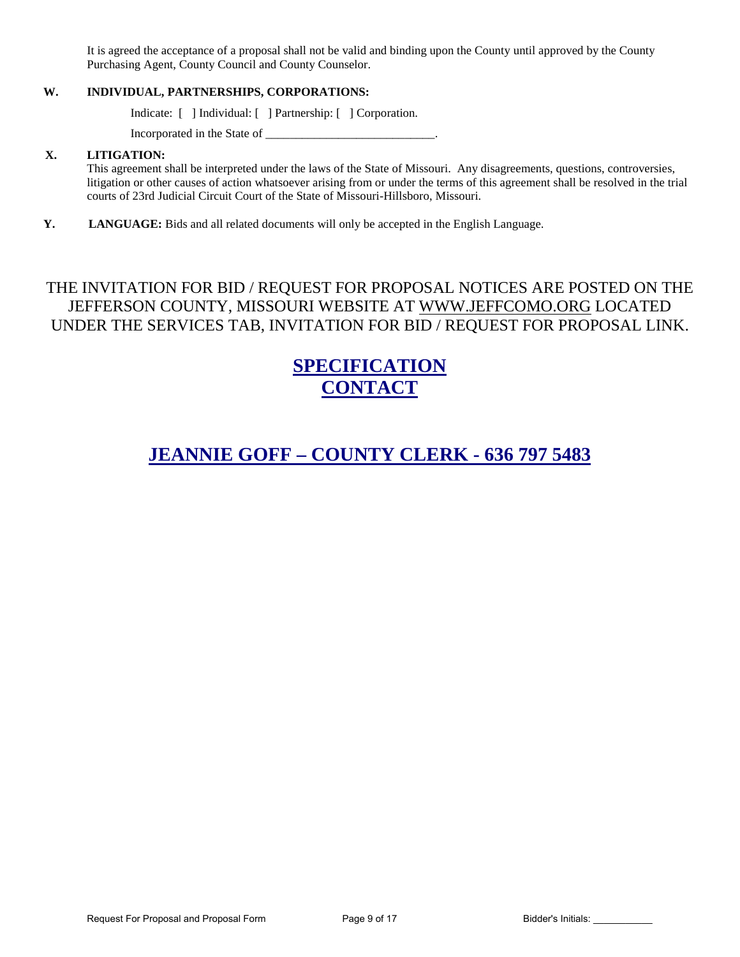It is agreed the acceptance of a proposal shall not be valid and binding upon the County until approved by the County Purchasing Agent, County Council and County Counselor.

## **W. INDIVIDUAL, PARTNERSHIPS, CORPORATIONS:**

Indicate: [ ] Individual: [ ] Partnership: [ ] Corporation.

Incorporated in the State of \_\_\_\_\_\_\_\_\_\_\_\_\_\_\_\_\_\_\_\_\_\_\_\_\_\_\_\_.

#### **X. LITIGATION:**

This agreement shall be interpreted under the laws of the State of Missouri. Any disagreements, questions, controversies, litigation or other causes of action whatsoever arising from or under the terms of this agreement shall be resolved in the trial courts of 23rd Judicial Circuit Court of the State of Missouri-Hillsboro, Missouri.

**Y. LANGUAGE:** Bids and all related documents will only be accepted in the English Language.

# THE INVITATION FOR BID / REQUEST FOR PROPOSAL NOTICES ARE POSTED ON THE JEFFERSON COUNTY, MISSOURI WEBSITE AT [WWW.JEFFCOMO.ORG](http://www.jeffcomo.org/) LOCATED UNDER THE SERVICES TAB, INVITATION FOR BID / REQUEST FOR PROPOSAL LINK.

# **SPECIFICATION CONTACT**

# **JEANNIE GOFF – COUNTY CLERK - 636 797 5483**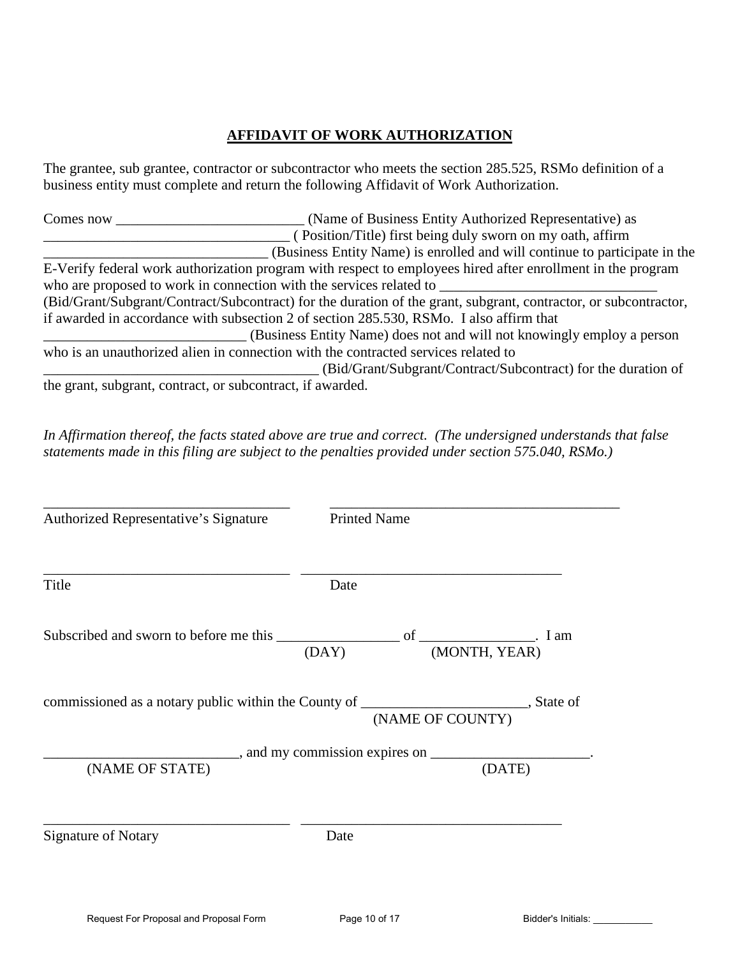## **AFFIDAVIT OF WORK AUTHORIZATION**

The grantee, sub grantee, contractor or subcontractor who meets the section 285.525, RSMo definition of a business entity must complete and return the following Affidavit of Work Authorization.

| Comes now                                                  | (Name of Business Entity Authorized Representative) as                                                           |
|------------------------------------------------------------|------------------------------------------------------------------------------------------------------------------|
|                                                            | (Position/Title) first being duly sworn on my oath, affirm                                                       |
|                                                            | (Business Entity Name) is enrolled and will continue to participate in the                                       |
|                                                            | E-Verify federal work authorization program with respect to employees hired after enrollment in the program      |
|                                                            | who are proposed to work in connection with the services related to                                              |
|                                                            | (Bid/Grant/Subgrant/Contract/Subcontract) for the duration of the grant, subgrant, contractor, or subcontractor, |
|                                                            | if awarded in accordance with subsection 2 of section 285.530, RSMo. I also affirm that                          |
|                                                            | (Business Entity Name) does not and will not knowingly employ a person                                           |
|                                                            | who is an unauthorized alien in connection with the contracted services related to                               |
|                                                            | (Bid/Grant/Subgrant/Contract/Subcontract) for the duration of                                                    |
| the grant, subgrant, contract, or subcontract, if awarded. |                                                                                                                  |

*In Affirmation thereof, the facts stated above are true and correct. (The undersigned understands that false statements made in this filing are subject to the penalties provided under section 575.040, RSMo.)* 

| Authorized Representative's Signature                                                                                      | <b>Printed Name</b> |        |
|----------------------------------------------------------------------------------------------------------------------------|---------------------|--------|
| Title                                                                                                                      | Date                |        |
| Subscribed and sworn to before me this $\frac{\overline{\text{OAY}}}{}$ of $\frac{\overline{\text{MONTH, YEAR}}}{}$ . I am |                     |        |
|                                                                                                                            |                     |        |
|                                                                                                                            |                     |        |
| (NAME OF STATE)                                                                                                            |                     | (DATE) |
| <b>Signature of Notary</b>                                                                                                 | Date                |        |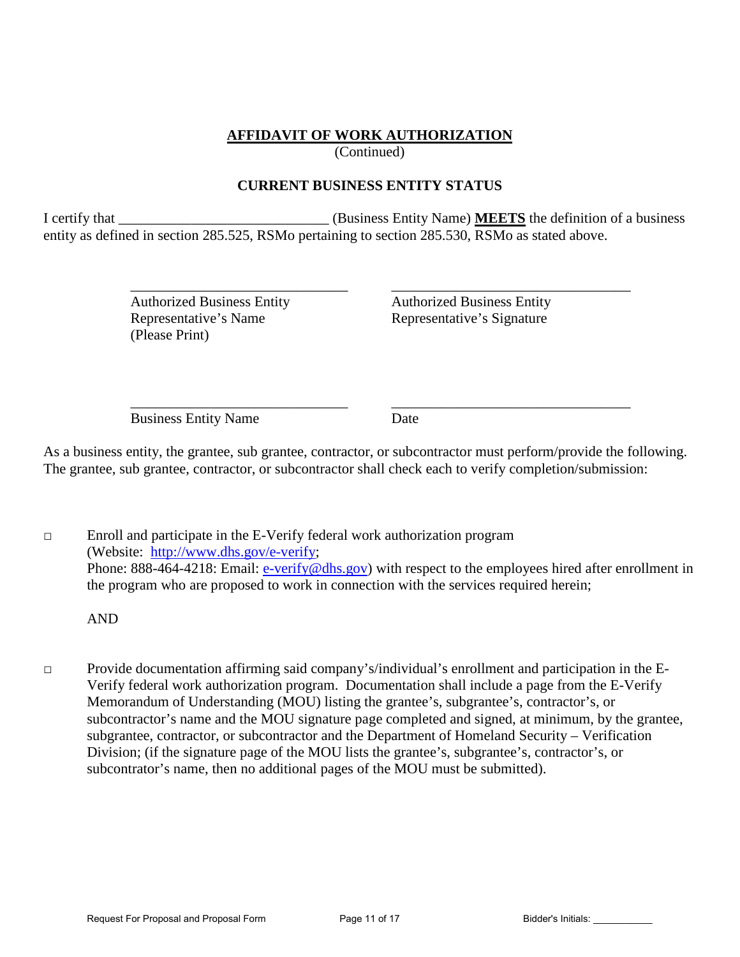# **AFFIDAVIT OF WORK AUTHORIZATION**

(Continued)

## **CURRENT BUSINESS ENTITY STATUS**

I certify that \_\_\_\_\_\_\_\_\_\_\_\_\_\_\_\_\_\_\_\_\_\_\_\_\_\_\_\_\_ (Business Entity Name) **MEETS** the definition of a business entity as defined in section 285.525, RSMo pertaining to section 285.530, RSMo as stated above.

> Representative's Name<br>Representative's Signature (Please Print)

 $\overline{\phantom{a}}$  ,  $\overline{\phantom{a}}$  ,  $\overline{\phantom{a}}$  ,  $\overline{\phantom{a}}$  ,  $\overline{\phantom{a}}$  ,  $\overline{\phantom{a}}$  ,  $\overline{\phantom{a}}$  ,  $\overline{\phantom{a}}$  ,  $\overline{\phantom{a}}$  ,  $\overline{\phantom{a}}$  ,  $\overline{\phantom{a}}$  ,  $\overline{\phantom{a}}$  ,  $\overline{\phantom{a}}$  ,  $\overline{\phantom{a}}$  ,  $\overline{\phantom{a}}$  ,  $\overline{\phantom{a}}$ Authorized Business Entity Authorized Business Entity

 $\overline{\phantom{a}}$  ,  $\overline{\phantom{a}}$  ,  $\overline{\phantom{a}}$  ,  $\overline{\phantom{a}}$  ,  $\overline{\phantom{a}}$  ,  $\overline{\phantom{a}}$  ,  $\overline{\phantom{a}}$  ,  $\overline{\phantom{a}}$  ,  $\overline{\phantom{a}}$  ,  $\overline{\phantom{a}}$  ,  $\overline{\phantom{a}}$  ,  $\overline{\phantom{a}}$  ,  $\overline{\phantom{a}}$  ,  $\overline{\phantom{a}}$  ,  $\overline{\phantom{a}}$  ,  $\overline{\phantom{a}}$ Business Entity Name Date

As a business entity, the grantee, sub grantee, contractor, or subcontractor must perform/provide the following. The grantee, sub grantee, contractor, or subcontractor shall check each to verify completion/submission:

□ Enroll and participate in the E-Verify federal work authorization program (Website: [http://www.dhs.gov/e-verify;](http://www.dhs.gov/e-verify) Phone: 888-464-4218: Email: [e-verify@dhs.gov\)](mailto:e-verify@dhs.gov) with respect to the employees hired after enrollment in the program who are proposed to work in connection with the services required herein;

AND

□ Provide documentation affirming said company's/individual's enrollment and participation in the E-Verify federal work authorization program. Documentation shall include a page from the E-Verify Memorandum of Understanding (MOU) listing the grantee's, subgrantee's, contractor's, or subcontractor's name and the MOU signature page completed and signed, at minimum, by the grantee, subgrantee, contractor, or subcontractor and the Department of Homeland Security – Verification Division; (if the signature page of the MOU lists the grantee's, subgrantee's, contractor's, or subcontrator's name, then no additional pages of the MOU must be submitted).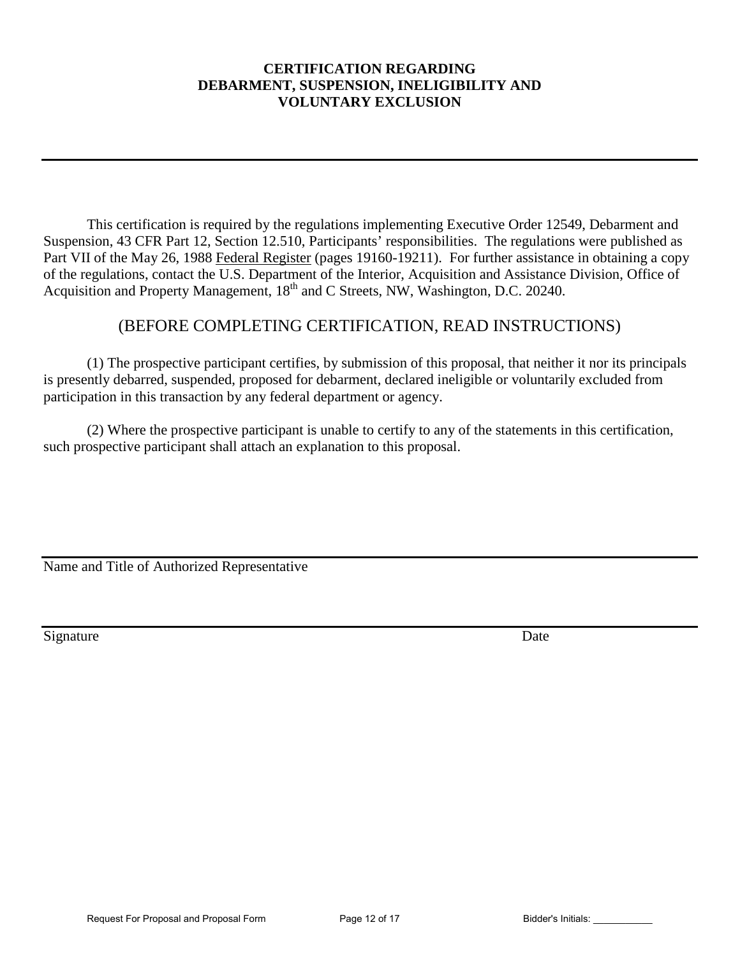## **CERTIFICATION REGARDING DEBARMENT, SUSPENSION, INELIGIBILITY AND VOLUNTARY EXCLUSION**

This certification is required by the regulations implementing Executive Order 12549, Debarment and Suspension, 43 CFR Part 12, Section 12.510, Participants' responsibilities. The regulations were published as Part VII of the May 26, 1988 Federal Register (pages 19160-19211). For further assistance in obtaining a copy of the regulations, contact the U.S. Department of the Interior, Acquisition and Assistance Division, Office of Acquisition and Property Management, 18<sup>th</sup> and C Streets, NW, Washington, D.C. 20240.

# (BEFORE COMPLETING CERTIFICATION, READ INSTRUCTIONS)

 (1) The prospective participant certifies, by submission of this proposal, that neither it nor its principals is presently debarred, suspended, proposed for debarment, declared ineligible or voluntarily excluded from participation in this transaction by any federal department or agency.

(2) Where the prospective participant is unable to certify to any of the statements in this certification, such prospective participant shall attach an explanation to this proposal.

Name and Title of Authorized Representative

Signature Date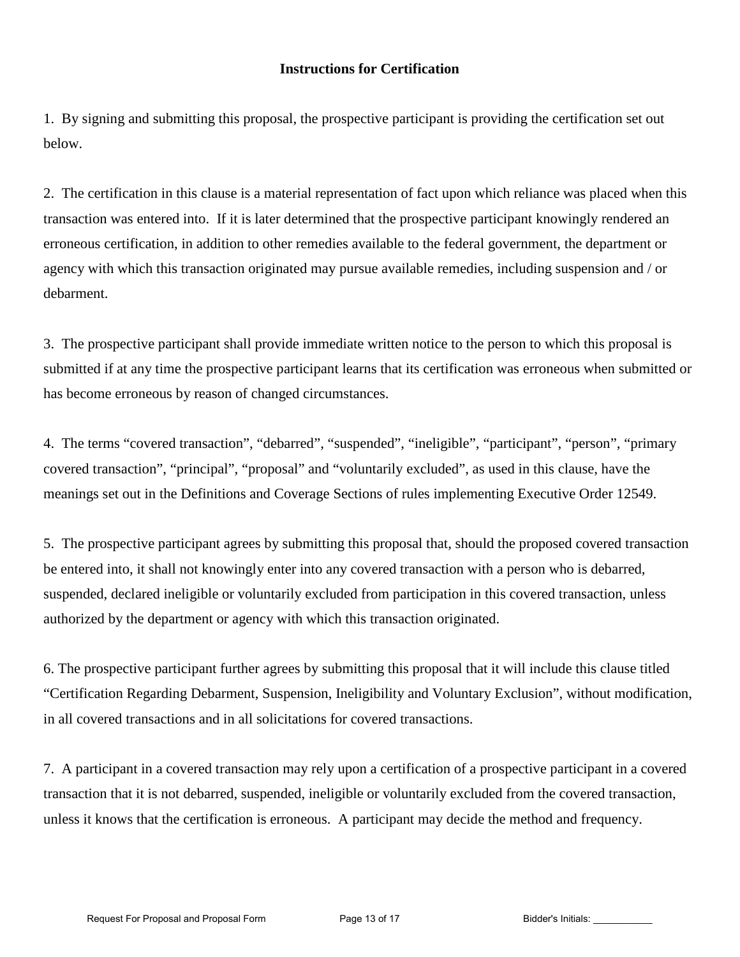## **Instructions for Certification**

1. By signing and submitting this proposal, the prospective participant is providing the certification set out below.

2. The certification in this clause is a material representation of fact upon which reliance was placed when this transaction was entered into. If it is later determined that the prospective participant knowingly rendered an erroneous certification, in addition to other remedies available to the federal government, the department or agency with which this transaction originated may pursue available remedies, including suspension and / or debarment.

3. The prospective participant shall provide immediate written notice to the person to which this proposal is submitted if at any time the prospective participant learns that its certification was erroneous when submitted or has become erroneous by reason of changed circumstances.

4. The terms "covered transaction", "debarred", "suspended", "ineligible", "participant", "person", "primary covered transaction", "principal", "proposal" and "voluntarily excluded", as used in this clause, have the meanings set out in the Definitions and Coverage Sections of rules implementing Executive Order 12549.

5. The prospective participant agrees by submitting this proposal that, should the proposed covered transaction be entered into, it shall not knowingly enter into any covered transaction with a person who is debarred, suspended, declared ineligible or voluntarily excluded from participation in this covered transaction, unless authorized by the department or agency with which this transaction originated.

6. The prospective participant further agrees by submitting this proposal that it will include this clause titled "Certification Regarding Debarment, Suspension, Ineligibility and Voluntary Exclusion", without modification, in all covered transactions and in all solicitations for covered transactions.

7. A participant in a covered transaction may rely upon a certification of a prospective participant in a covered transaction that it is not debarred, suspended, ineligible or voluntarily excluded from the covered transaction, unless it knows that the certification is erroneous. A participant may decide the method and frequency.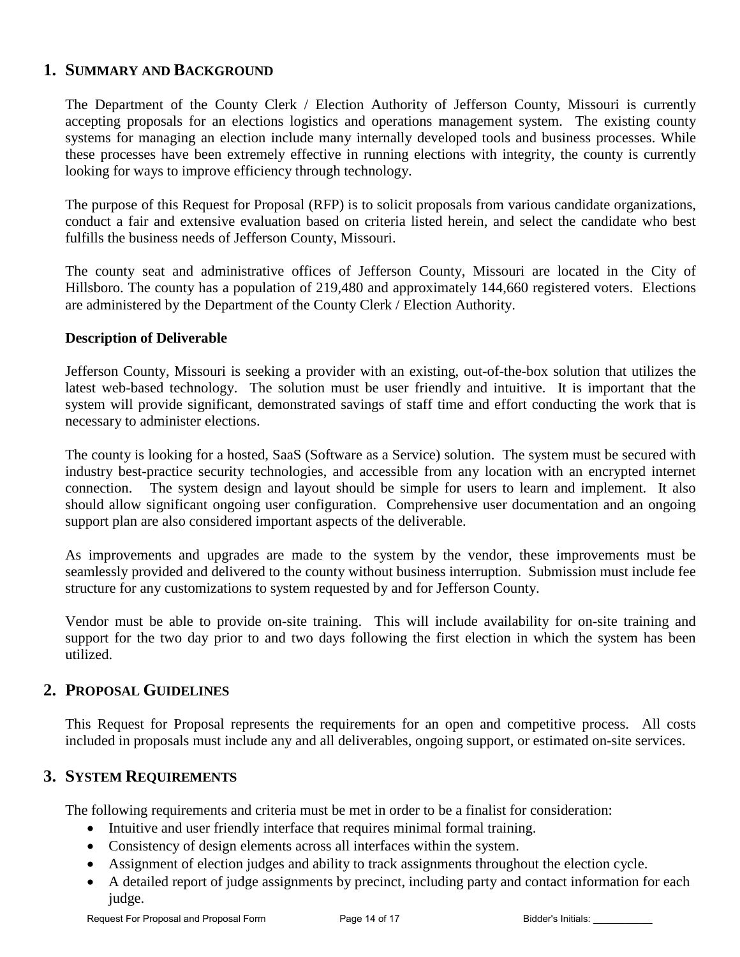# **1. SUMMARY AND BACKGROUND**

The Department of the County Clerk / Election Authority of Jefferson County, Missouri is currently accepting proposals for an elections logistics and operations management system. The existing county systems for managing an election include many internally developed tools and business processes. While these processes have been extremely effective in running elections with integrity, the county is currently looking for ways to improve efficiency through technology.

The purpose of this Request for Proposal (RFP) is to solicit proposals from various candidate organizations, conduct a fair and extensive evaluation based on criteria listed herein, and select the candidate who best fulfills the business needs of Jefferson County, Missouri.

The county seat and administrative offices of Jefferson County, Missouri are located in the City of Hillsboro. The county has a population of 219,480 and approximately 144,660 registered voters. Elections are administered by the Department of the County Clerk / Election Authority.

## **Description of Deliverable**

Jefferson County, Missouri is seeking a provider with an existing, out-of-the-box solution that utilizes the latest web-based technology. The solution must be user friendly and intuitive. It is important that the system will provide significant, demonstrated savings of staff time and effort conducting the work that is necessary to administer elections.

The county is looking for a hosted, SaaS (Software as a Service) solution. The system must be secured with industry best-practice security technologies, and accessible from any location with an encrypted internet connection. The system design and layout should be simple for users to learn and implement. It also should allow significant ongoing user configuration. Comprehensive user documentation and an ongoing support plan are also considered important aspects of the deliverable.

As improvements and upgrades are made to the system by the vendor, these improvements must be seamlessly provided and delivered to the county without business interruption. Submission must include fee structure for any customizations to system requested by and for Jefferson County.

Vendor must be able to provide on-site training. This will include availability for on-site training and support for the two day prior to and two days following the first election in which the system has been utilized.

# **2. PROPOSAL GUIDELINES**

This Request for Proposal represents the requirements for an open and competitive process. All costs included in proposals must include any and all deliverables, ongoing support, or estimated on-site services.

# **3. SYSTEM REQUIREMENTS**

The following requirements and criteria must be met in order to be a finalist for consideration:

- Intuitive and user friendly interface that requires minimal formal training.
- Consistency of design elements across all interfaces within the system.
- Assignment of election judges and ability to track assignments throughout the election cycle.
- A detailed report of judge assignments by precinct, including party and contact information for each judge.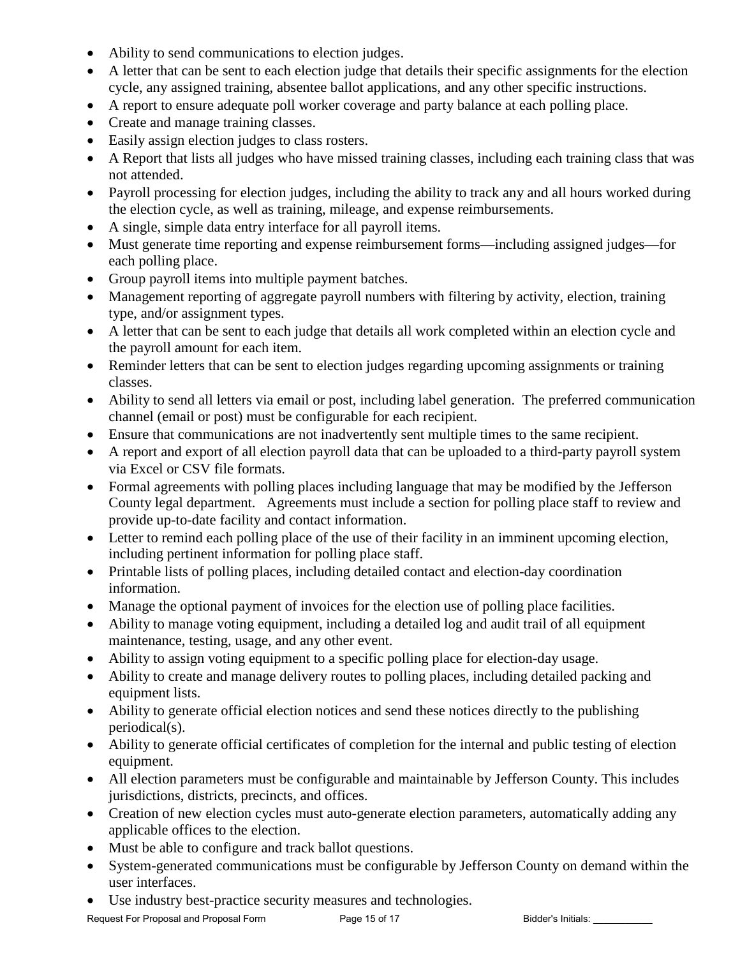- Ability to send communications to election judges.
- A letter that can be sent to each election judge that details their specific assignments for the election cycle, any assigned training, absentee ballot applications, and any other specific instructions.
- A report to ensure adequate poll worker coverage and party balance at each polling place.
- Create and manage training classes.
- Easily assign election judges to class rosters.
- A Report that lists all judges who have missed training classes, including each training class that was not attended.
- Payroll processing for election judges, including the ability to track any and all hours worked during the election cycle, as well as training, mileage, and expense reimbursements.
- A single, simple data entry interface for all payroll items.
- Must generate time reporting and expense reimbursement forms—including assigned judges—for each polling place.
- Group payroll items into multiple payment batches.
- Management reporting of aggregate payroll numbers with filtering by activity, election, training type, and/or assignment types.
- A letter that can be sent to each judge that details all work completed within an election cycle and the payroll amount for each item.
- Reminder letters that can be sent to election judges regarding upcoming assignments or training classes.
- Ability to send all letters via email or post, including label generation. The preferred communication channel (email or post) must be configurable for each recipient.
- Ensure that communications are not inadvertently sent multiple times to the same recipient.
- A report and export of all election payroll data that can be uploaded to a third-party payroll system via Excel or CSV file formats.
- Formal agreements with polling places including language that may be modified by the Jefferson County legal department. Agreements must include a section for polling place staff to review and provide up-to-date facility and contact information.
- Letter to remind each polling place of the use of their facility in an imminent upcoming election, including pertinent information for polling place staff.
- Printable lists of polling places, including detailed contact and election-day coordination information.
- Manage the optional payment of invoices for the election use of polling place facilities.
- Ability to manage voting equipment, including a detailed log and audit trail of all equipment maintenance, testing, usage, and any other event.
- Ability to assign voting equipment to a specific polling place for election-day usage.
- Ability to create and manage delivery routes to polling places, including detailed packing and equipment lists.
- Ability to generate official election notices and send these notices directly to the publishing periodical(s).
- Ability to generate official certificates of completion for the internal and public testing of election equipment.
- All election parameters must be configurable and maintainable by Jefferson County. This includes jurisdictions, districts, precincts, and offices.
- Creation of new election cycles must auto-generate election parameters, automatically adding any applicable offices to the election.
- Must be able to configure and track ballot questions.
- System-generated communications must be configurable by Jefferson County on demand within the user interfaces.
- Use industry best-practice security measures and technologies.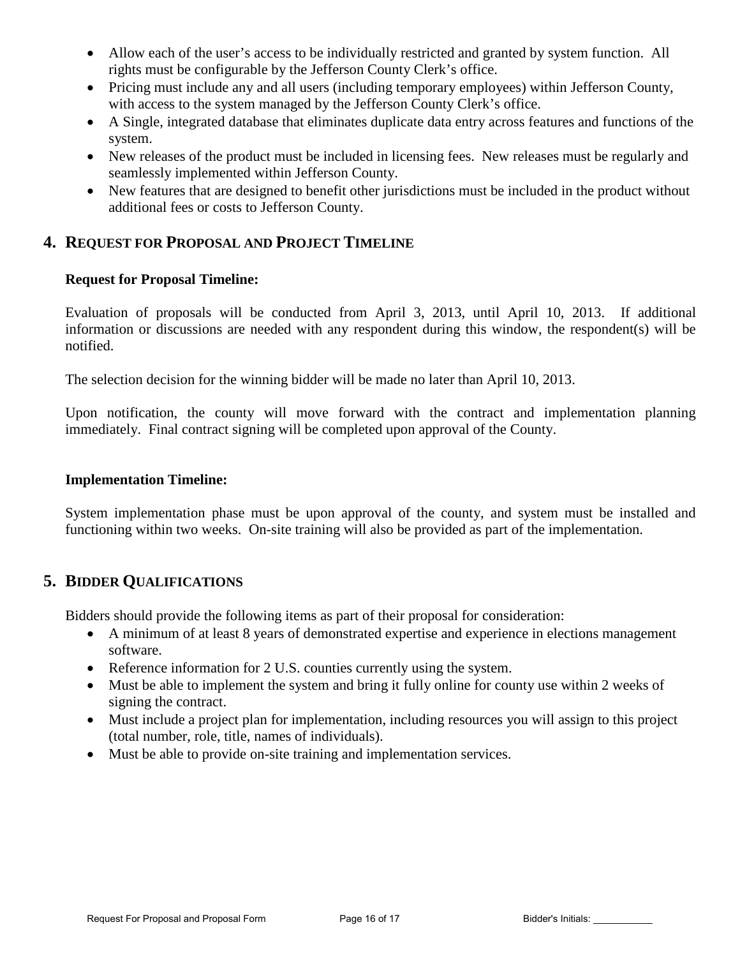- Allow each of the user's access to be individually restricted and granted by system function. All rights must be configurable by the Jefferson County Clerk's office.
- Pricing must include any and all users (including temporary employees) within Jefferson County, with access to the system managed by the Jefferson County Clerk's office.
- A Single, integrated database that eliminates duplicate data entry across features and functions of the system.
- New releases of the product must be included in licensing fees. New releases must be regularly and seamlessly implemented within Jefferson County.
- New features that are designed to benefit other jurisdictions must be included in the product without additional fees or costs to Jefferson County.

## **4. REQUEST FOR PROPOSAL AND PROJECT TIMELINE**

## **Request for Proposal Timeline:**

Evaluation of proposals will be conducted from April 3, 2013, until April 10, 2013. If additional information or discussions are needed with any respondent during this window, the respondent(s) will be notified.

The selection decision for the winning bidder will be made no later than April 10, 2013.

Upon notification, the county will move forward with the contract and implementation planning immediately. Final contract signing will be completed upon approval of the County.

## **Implementation Timeline:**

System implementation phase must be upon approval of the county, and system must be installed and functioning within two weeks. On-site training will also be provided as part of the implementation.

## **5. BIDDER QUALIFICATIONS**

Bidders should provide the following items as part of their proposal for consideration:

- A minimum of at least 8 years of demonstrated expertise and experience in elections management software.
- Reference information for 2 U.S. counties currently using the system.
- Must be able to implement the system and bring it fully online for county use within 2 weeks of signing the contract.
- Must include a project plan for implementation, including resources you will assign to this project (total number, role, title, names of individuals).
- Must be able to provide on-site training and implementation services.